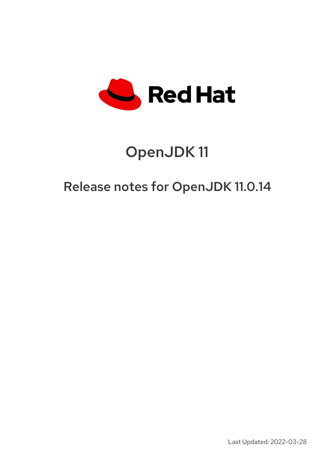

# OpenJDK 11

# Release notes for OpenJDK 11.0.14

Last Updated: 2022-03-28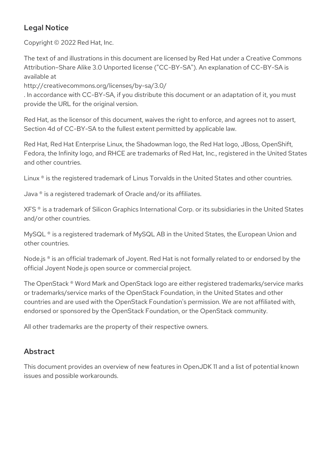### Legal Notice

Copyright © 2022 Red Hat, Inc.

The text of and illustrations in this document are licensed by Red Hat under a Creative Commons Attribution–Share Alike 3.0 Unported license ("CC-BY-SA"). An explanation of CC-BY-SA is available at

http://creativecommons.org/licenses/by-sa/3.0/

. In accordance with CC-BY-SA, if you distribute this document or an adaptation of it, you must provide the URL for the original version.

Red Hat, as the licensor of this document, waives the right to enforce, and agrees not to assert, Section 4d of CC-BY-SA to the fullest extent permitted by applicable law.

Red Hat, Red Hat Enterprise Linux, the Shadowman logo, the Red Hat logo, JBoss, OpenShift, Fedora, the Infinity logo, and RHCE are trademarks of Red Hat, Inc., registered in the United States and other countries.

Linux ® is the registered trademark of Linus Torvalds in the United States and other countries.

Java ® is a registered trademark of Oracle and/or its affiliates.

XFS ® is a trademark of Silicon Graphics International Corp. or its subsidiaries in the United States and/or other countries.

MySQL<sup>®</sup> is a registered trademark of MySQL AB in the United States, the European Union and other countries.

Node.js ® is an official trademark of Joyent. Red Hat is not formally related to or endorsed by the official Joyent Node.js open source or commercial project.

The OpenStack ® Word Mark and OpenStack logo are either registered trademarks/service marks or trademarks/service marks of the OpenStack Foundation, in the United States and other countries and are used with the OpenStack Foundation's permission. We are not affiliated with, endorsed or sponsored by the OpenStack Foundation, or the OpenStack community.

All other trademarks are the property of their respective owners.

### Abstract

This document provides an overview of new features in OpenJDK 11 and a list of potential known issues and possible workarounds.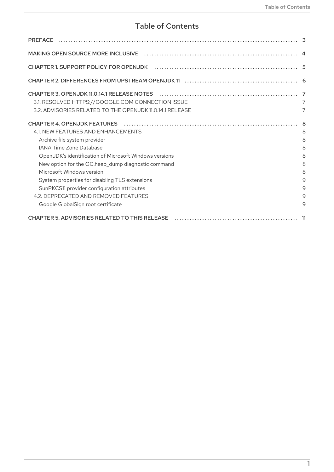## **Table of Contents**

| 3.1. RESOLVED HTTPS://GOOGLE.COM CONNECTION ISSUE                                                              | 7   |
|----------------------------------------------------------------------------------------------------------------|-----|
| 3.2. ADVISORIES RELATED TO THE OPENJDK 11.0.14.1 RELEASE                                                       | 7   |
| CHAPTER 4. OPENJDK FEATURES (and according term of the control of the control of the control of the control of | 8   |
| 4.1. NEW FEATURES AND ENHANCEMENTS                                                                             | 8   |
| Archive file system provider                                                                                   | 8   |
| <b>IANA Time Zone Database</b>                                                                                 | 8   |
| OpenJDK's identification of Microsoft Windows versions                                                         | 8   |
| New option for the GC.heap_dump diagnostic command                                                             | 8   |
| Microsoft Windows version                                                                                      | 8   |
| System properties for disabling TLS extensions                                                                 | 9   |
| SunPKCS11 provider configuration attributes                                                                    | 9   |
| 4.2. DEPRECATED AND REMOVED FEATURES                                                                           | 9   |
| Google GlobalSign root certificate                                                                             | 9   |
| <b>CHAPTER 5. ADVISORIES RELATED TO THIS RELEASE</b>                                                           | -11 |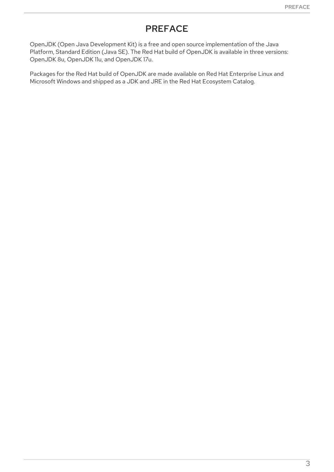## PREFACE

<span id="page-6-0"></span>OpenJDK (Open Java Development Kit) is a free and open source implementation of the Java Platform, Standard Edition (Java SE). The Red Hat build of OpenJDK is available in three versions: OpenJDK 8u, OpenJDK 11u, and OpenJDK 17u.

Packages for the Red Hat build of OpenJDK are made available on Red Hat Enterprise Linux and Microsoft Windows and shipped as a JDK and JRE in the Red Hat Ecosystem Catalog.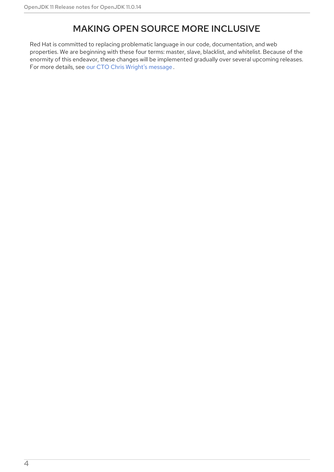# MAKING OPEN SOURCE MORE INCLUSIVE

<span id="page-7-0"></span>Red Hat is committed to replacing problematic language in our code, documentation, and web properties. We are beginning with these four terms: master, slave, blacklist, and whitelist. Because of the enormity of this endeavor, these changes will be implemented gradually over several upcoming releases. For more details, see our CTO Chris Wright's [message](https://www.redhat.com/en/blog/making-open-source-more-inclusive-eradicating-problematic-language) .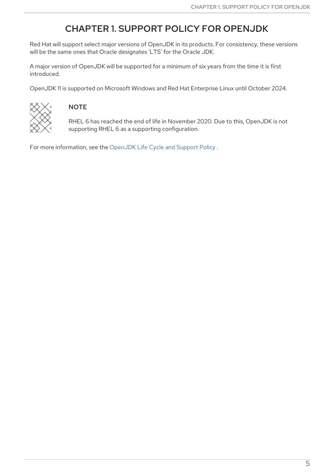# CHAPTER 1. SUPPORT POLICY FOR OPENJDK

<span id="page-8-0"></span>Red Hat will support select major versions of OpenJDK in its products. For consistency, these versions will be the same ones that Oracle designates 'LTS' for the Oracle JDK.

A major version of OpenJDK will be supported for a minimum of six years from the time it is first introduced.

OpenJDK 11 is supported on Microsoft Windows and Red Hat Enterprise Linux until October 2024.



### **NOTE**

RHEL 6 has reached the end of life in November 2020. Due to this, OpenJDK is not supporting RHEL 6 as a supporting configuration.

For more information, see the [OpenJDK](https://access.redhat.com/articles/1299013) Life Cycle and Support Policy .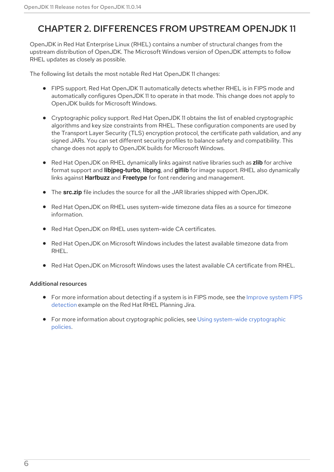# <span id="page-9-0"></span>CHAPTER 2. DIFFERENCES FROM UPSTREAM OPENJDK 11

OpenJDK in Red Hat Enterprise Linux (RHEL) contains a number of structural changes from the upstream distribution of OpenJDK. The Microsoft Windows version of OpenJDK attempts to follow RHEL updates as closely as possible.

The following list details the most notable Red Hat OpenJDK 11 changes:

- FIPS support. Red Hat OpenJDK 11 automatically detects whether RHEL is in FIPS mode and automatically configures OpenJDK 11 to operate in that mode. This change does not apply to OpenJDK builds for Microsoft Windows.
- Cryptographic policy support. Red Hat OpenJDK 11 obtains the list of enabled cryptographic algorithms and key size constraints from RHEL. These configuration components are used by the Transport Layer Security (TLS) encryption protocol, the certificate path validation, and any signed JARs. You can set different security profiles to balance safety and compatibility. This change does not apply to OpenJDK builds for Microsoft Windows.
- Red Hat OpenJDK on RHEL dynamically links against native libraries such as **zlib** for archive format support and **libjpeg-turbo**, **libpng**, and **giflib** for image support. RHEL also dynamically links against **Harfbuzz** and **Freetype** for font rendering and management.
- The **src.zip** file includes the source for all the JAR libraries shipped with OpenJDK.
- Red Hat OpenJDK on RHEL uses system-wide timezone data files as a source for timezone information.
- Red Hat OpenJDK on RHEL uses system-wide CA certificates.
- Red Hat OpenJDK on Microsoft Windows includes the latest available timezone data from RHEL.
- Red Hat OpenJDK on Microsoft Windows uses the latest available CA certificate from RHEL.

#### Additional resources

- For more [information](https://issues.redhat.com/browse/RHELPLAN-67668) about detecting if a system is in FIPS mode, see the Improve system FIPS detection example on the Red Hat RHEL Planning Jira.
- **•** For more information about [cryptographic](https://access.redhat.com/documentation/en-us/red_hat_enterprise_linux/8/html/security_hardening/using-the-system-wide-cryptographic-policies_security-hardening) policies, see Using system-wide cryptographic policies.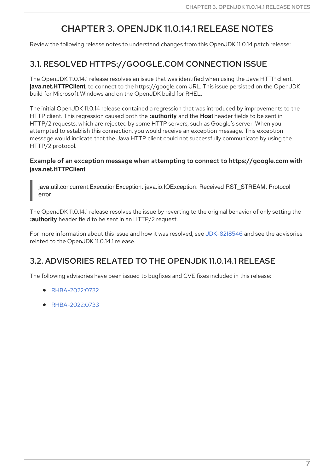# CHAPTER 3. OPENJDK 11.0.14.1 RELEASE NOTES

<span id="page-10-0"></span>Review the following release notes to understand changes from this OpenJDK 11.0.14 patch release:

### <span id="page-10-1"></span>3.1. RESOLVED HTTPS://GOOGLE.COM CONNECTION ISSUE

The OpenJDK 11.0.14.1 release resolves an issue that was identified when using the Java HTTP client, **java.net.HTTPClient**, to connect to the https://google.com URL. This issue persisted on the OpenJDK build for Microsoft Windows and on the OpenJDK build for RHEL.

The initial OpenJDK 11.0.14 release contained a regression that was introduced by improvements to the HTTP client. This regression caused both the **:authority** and the **Host** header fields to be sent in HTTP/2 requests, which are rejected by some HTTP servers, such as Google's server. When you attempted to establish this connection, you would receive an exception message. This exception message would indicate that the Java HTTP client could not successfully communicate by using the HTTP/2 protocol.

### Example of an exception message when attempting to connect to https://google.com with **java.net.HTTPClient**

java.util.concurrent.ExecutionException: java.io.IOException: Received RST\_STREAM: Protocol error

The OpenJDK 11.0.14.1 release resolves the issue by reverting to the original behavior of only setting the **:authority** header field to be sent in an HTTP/2 request.

For more information about this issue and how it was resolved, see [JDK-8218546](https://bugs.openjdk.java.net/browse/JDK-8218546) and see the advisories related to the OpenJDK 11.0.14.1 release.

### <span id="page-10-2"></span>3.2. ADVISORIES RELATED TO THE OPENJDK 11.0.14.1 RELEASE

The following advisories have been issued to bugfixes and CVE fixes included in this release:

- [RHBA-2022:0732](https://access.redhat.com/errata/RHBA-2022:0732)
- [RHBA-2022:0733](https://access.redhat.com/errata/RHBA-2022:0733)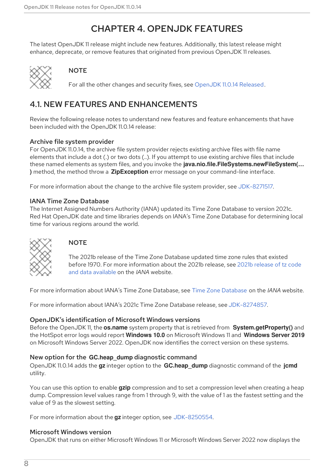# CHAPTER 4. OPENJDK FEATURES

<span id="page-11-0"></span>The latest OpenJDK 11 release might include new features. Additionally, this latest release might enhance, deprecate, or remove features that originated from previous OpenJDK 11 releases.



### **NOTE**

For all the other changes and security fixes, see [OpenJDK](https://mail.openjdk.java.net/pipermail/jdk-updates-dev/2022-January/011643.html) 11.0.14 Released.

### <span id="page-11-1"></span>4.1. NEW FEATURES AND ENHANCEMENTS

Review the following release notes to understand new features and feature enhancements that have been included with the OpenJDK 11.0.14 release:

### <span id="page-11-2"></span>Archive file system provider

For OpenJDK 11.0.14, the archive file system provider rejects existing archive files with file name elements that include a dot (.) or two dots (..). If you attempt to use existing archive files that include these named elements as system files, and you invoke the **java.nio.file.FileSystems.newFileSystem(… )** method, the method throw a **ZipException** error message on your command-line interface.

For more information about the change to the archive file system provider, see [JDK-8271517](https://bugs.openjdk.java.net/browse/JDK-8271517).

### <span id="page-11-3"></span>IANA Time Zone Database

The Internet Assigned Numbers Authority (IANA) updated its Time Zone Database to version 2021c. Red Hat OpenJDK date and time libraries depends on IANA's Time Zone Database for determining local time for various regions around the world.



### **NOTE**

The 2021b release of the Time Zone Database updated time zone rules that existed before 1970. For more [information](https://mm.icann.org/pipermail/tz-announce/2021-September/000066.html) about the 2021b release, see 2021b release of tz code and data available on the *IANA* website.

For more information about IANA's Time Zone Database, see Time Zone [Database](https://www.iana.org/time-zones) on the *IANA* website.

For more information about IANA's 2021c Time Zone Database release, see [JDK-8274857.](https://bugs.openjdk.java.net/browse/JDK-8274857)

### <span id="page-11-4"></span>OpenJDK's identification of Microsoft Windows versions

Before the OpenJDK 11, the **os.name** system property that is retrieved from **System.getProperty()** and the HotSpot error logs would report **Windows 10.0** on Microsoft Windows 11 and **Windows Server 2019** on Microsoft Windows Server 2022. OpenJDK now identifies the correct version on these systems.

### <span id="page-11-5"></span>New option for the **GC.heap\_dump** diagnostic command

OpenJDK 11.0.14 adds the **gz** integer option to the **GC.heap\_dump** diagnostic command of the **jcmd** utility.

You can use this option to enable **gzip** compression and to set a compression level when creating a heap dump. Compression level values range from 1 through 9, with the value of 1 as the fastest setting and the value of 9 as the slowest setting.

For more information about the **gz** integer option, see [JDK-8250554.](https://bugs.openjdk.java.net/browse/JDK-8250554)

#### <span id="page-11-6"></span>Microsoft Windows version

OpenJDK that runs on either Microsoft Windows 11 or Microsoft Windows Server 2022 now displays the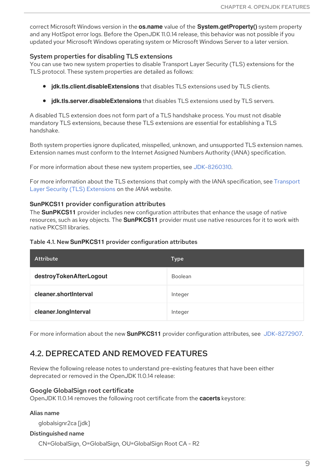correct Microsoft Windows version in the **os.name** value of the **System.getProperty()** system property and any HotSpot error logs. Before the OpenJDK 11.0.14 release, this behavior was not possible if you updated your Microsoft Windows operating system or Microsoft Windows Server to a later version.

#### <span id="page-12-0"></span>System properties for disabling TLS extensions

You can use two new system properties to disable Transport Layer Security (TLS) extensions for the TLS protocol. These system properties are detailed as follows:

- **jdk.tls.client.disableExtensions** that disables TLS extensions used by TLS clients.
- **jdk.tls.server.disableExtensions** that disables TLS extensions used by TLS servers.

A disabled TLS extension does not form part of a TLS handshake process. You must not disable mandatory TLS extensions, because these TLS extensions are essential for establishing a TLS handshake.

Both system properties ignore duplicated, misspelled, unknown, and unsupported TLS extension names. Extension names must conform to the Internet Assigned Numbers Authority (IANA) specification.

For more information about these new system properties, see [JDK-8260310](https://bugs.openjdk.java.net/browse/JDK-8260310).

For more information about the TLS extensions that comply with the IANA [specification,](https://www.iana.org/assignments/tls-extensiontype-values/tls-extensiontype-values.xhtml) see Transport Layer Security (TLS) Extensions on the *IANA* website.

#### <span id="page-12-1"></span>**SunPKCS11** provider configuration attributes

The **SunPKCS11** provider includes new configuration attributes that enhance the usage of native resources, such as key objects. The **SunPKCS11** provider must use native resources for it to work with native PKCS11 libraries.

| Table 4.1. New SunPKCS11 provider configuration attributes |  |  |  |
|------------------------------------------------------------|--|--|--|
|------------------------------------------------------------|--|--|--|

| Attribute               | <b>Type</b> |
|-------------------------|-------------|
| destroyTokenAfterLogout | Boolean     |
| cleaner.shortInterval   | Integer     |
| cleaner.longInterval    | Integer     |

For more information about the new **SunPKCS11** provider configuration attributes, see [JDK-8272907.](https://bugs-stage.openjdk.java.net/browse/JDK-8272907)

### <span id="page-12-2"></span>4.2. DEPRECATED AND REMOVED FEATURES

Review the following release notes to understand pre-existing features that have been either deprecated or removed in the OpenJDK 11.0.14 release:

#### <span id="page-12-3"></span>Google GlobalSign root certificate

OpenJDK 11.0.14 removes the following root certificate from the **cacerts** keystore:

#### Alias name

globalsignr2ca [jdk]

#### Distinguished name

CN=GlobalSign, O=GlobalSign, OU=GlobalSign Root CA - R2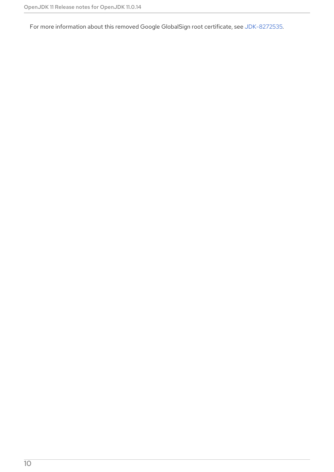For more information about this removed Google GlobalSign root certificate, see [JDK-8272535](https://bugs.openjdk.java.net/browse/JDK-8272535).